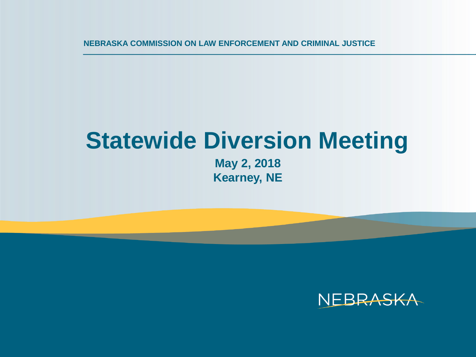**NEBRASKA COMMISSION ON LAW ENFORCEMENT AND CRIMINAL JUSTICE**

## **Statewide Diversion Meeting**

**May 2, 2018 Kearney, NE**

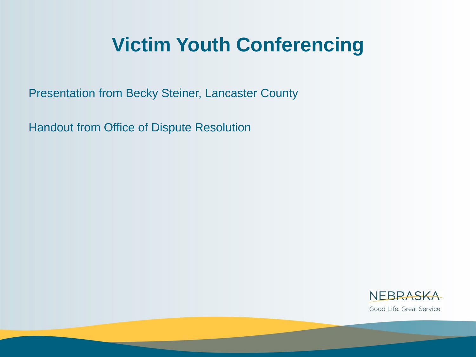### **Victim Youth Conferencing**

Presentation from Becky Steiner, Lancaster County

Handout from Office of Dispute Resolution

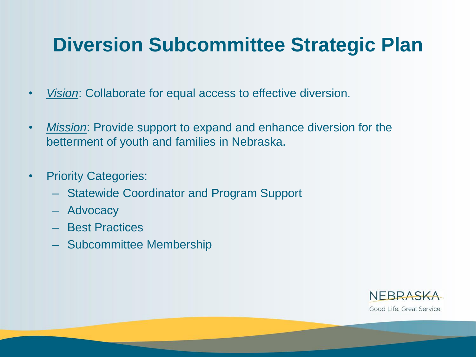### **Diversion Subcommittee Strategic Plan**

- *Vision*: Collaborate for equal access to effective diversion.
- *Mission*: Provide support to expand and enhance diversion for the betterment of youth and families in Nebraska.
- Priority Categories:
	- Statewide Coordinator and Program Support
	- Advocacy
	- Best Practices
	- Subcommittee Membership

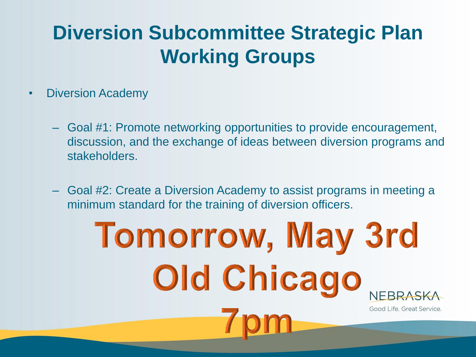### **Diversion Subcommittee Strategic Plan Working Groups**

- Diversion Academy
	- Goal #1: Promote networking opportunities to provide encouragement, discussion, and the exchange of ideas between diversion programs and stakeholders.
	- Goal #2: Create a Diversion Academy to assist programs in meeting a minimum standard for the training of diversion officers.

# **Tomorrow, May 3rd** Old Chicago Good Life. Great Service.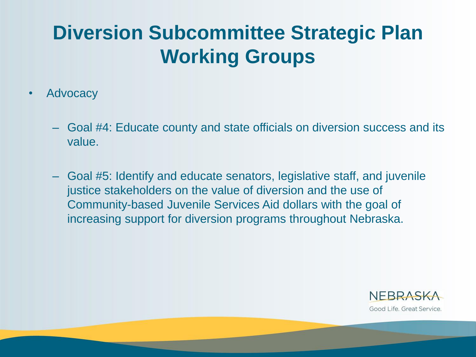### **Diversion Subcommittee Strategic Plan Working Groups**

- Advocacy
	- Goal #4: Educate county and state officials on diversion success and its value.
	- Goal #5: Identify and educate senators, legislative staff, and juvenile justice stakeholders on the value of diversion and the use of Community-based Juvenile Services Aid dollars with the goal of increasing support for diversion programs throughout Nebraska.

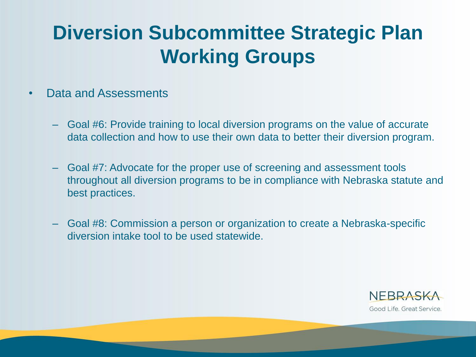### **Diversion Subcommittee Strategic Plan Working Groups**

#### • Data and Assessments

- Goal #6: Provide training to local diversion programs on the value of accurate data collection and how to use their own data to better their diversion program.
- Goal #7: Advocate for the proper use of screening and assessment tools throughout all diversion programs to be in compliance with Nebraska statute and best practices.
- Goal #8: Commission a person or organization to create a Nebraska-specific diversion intake tool to be used statewide.

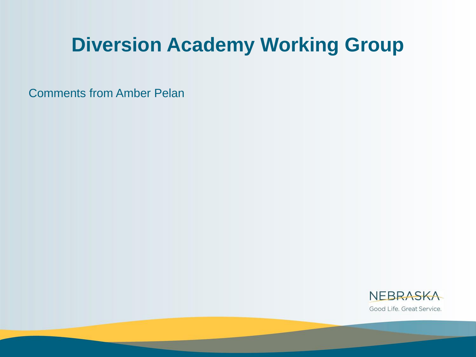#### **Diversion Academy Working Group**

Comments from Amber Pelan

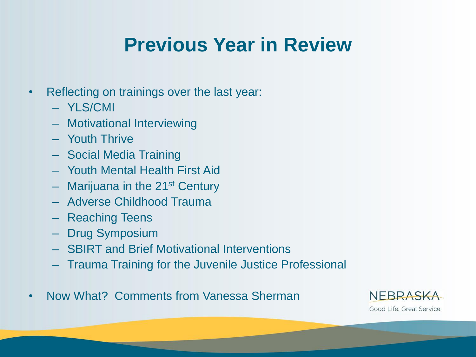### **Previous Year in Review**

- Reflecting on trainings over the last year:
	- YLS/CMI
	- Motivational Interviewing
	- Youth Thrive
	- Social Media Training
	- Youth Mental Health First Aid
	- $-$  Marijuana in the 21<sup>st</sup> Century
	- Adverse Childhood Trauma
	- Reaching Teens
	- Drug Symposium
	- SBIRT and Brief Motivational Interventions
	- Trauma Training for the Juvenile Justice Professional
- Now What? Comments from Vanessa Sherman

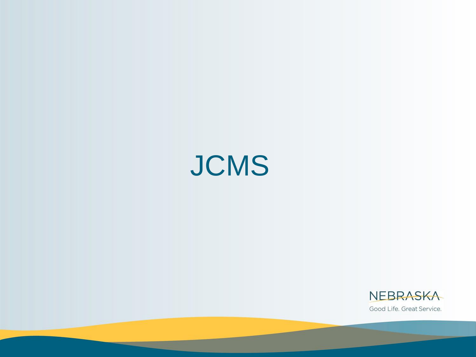

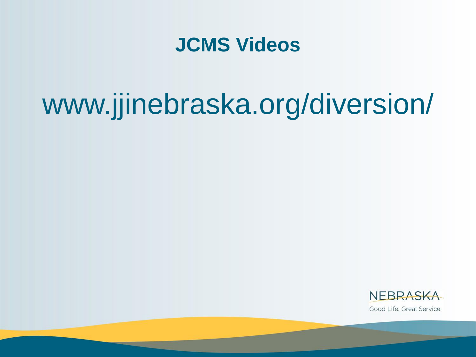#### **JCMS Videos**

## www.jjinebraska.org/diversion/

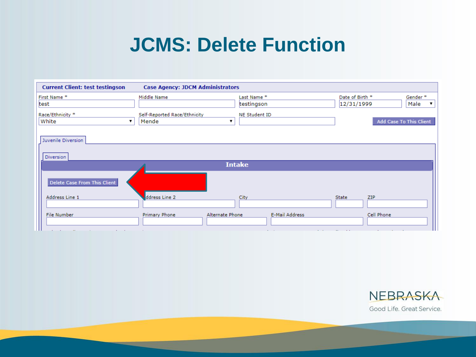#### **JCMS: Delete Function**

| <b>Current Client: test testingson</b>                                          | <b>Case Agency: JDCM Administrators</b>                    |                                           |                                                                             |
|---------------------------------------------------------------------------------|------------------------------------------------------------|-------------------------------------------|-----------------------------------------------------------------------------|
| First Name*<br>test<br>Race/Ethnicity *<br>White                                | Middle Name<br>Self-Reported Race/Ethnicity<br>Mende<br>▼  | Last Name*<br>testingson<br>NE Student ID | Date of Birth *<br>Gender*<br>12/31/1999<br>Male<br>Add Case To This Client |
| Juvenile Diversion<br>Diversion                                                 |                                                            | <b>Intake</b>                             |                                                                             |
| Delete Case From This Client<br>Address Line 1                                  | ddress Line 2                                              | City                                      | <b>State</b><br>ZIP                                                         |
| File Number<br>All Controller and<br><b>Contract Contract</b><br><b>Service</b> | <b>Primary Phone</b><br>Alternate Phone<br><b>Contract</b> | <b>E-Mail Address</b><br>$\sim$ 100 $\mu$ | Cell Phone                                                                  |

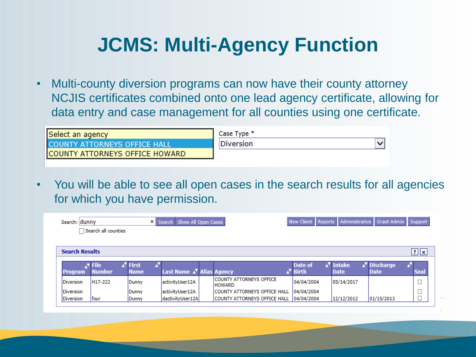### **JCMS: Multi-Agency Function**

• Multi-county diversion programs can now have their county attorney NCJIS certificates combined onto one lead agency certificate, allowing for data entry and case management for all counties using one certificate.

| Select an agency               | Case Type * |
|--------------------------------|-------------|
| I COUNTY ATTORNEYS OFFICE HALL | Diversion   |
| COUNTY ATTORNEYS OFFICE HOWARD |             |
|                                |             |

• You will be able to see all open cases in the search results for all agencies for which you have permission.

| Administrative<br>Reports<br>Grant Admin   Support<br>New Client<br>X Search Show All Open Cases<br>Search: dunny<br>$\Box$ Search all counties |                      |                      |                                       |  |                                                  |                      |                       |                          |                                  |
|-------------------------------------------------------------------------------------------------------------------------------------------------|----------------------|----------------------|---------------------------------------|--|--------------------------------------------------|----------------------|-----------------------|--------------------------|----------------------------------|
|                                                                                                                                                 |                      |                      |                                       |  |                                                  |                      |                       |                          |                                  |
|                                                                                                                                                 |                      |                      |                                       |  |                                                  |                      |                       |                          |                                  |
| <b>Search Results</b>                                                                                                                           |                      |                      |                                       |  |                                                  |                      |                       |                          | $\boxed{?}$ $\boxed{\mathbf{x}}$ |
|                                                                                                                                                 | $N$ File             | √ <sup>v</sup> First |                                       |  |                                                  | Date of              | ∡ <sup>v</sup> Intake | N <sup>V</sup> Discharge |                                  |
| <b>Program</b>                                                                                                                                  | <b>Number</b>        | <b>Name</b>          | Last Name △ <sup>▼</sup> Alias Agency |  |                                                  | A <sup>V</sup> Birth | <b>Date</b>           | <b>Date</b>              | <b>Seal</b>                      |
|                                                                                                                                                 |                      | Dunny                | activityUser12A                       |  | <b>ICOUNTY ATTORNEYS OFFICE</b><br><b>HOWARD</b> | 04/04/2004           | 05/14/2017            |                          |                                  |
|                                                                                                                                                 | H <sub>17</sub> -222 |                      |                                       |  |                                                  |                      |                       |                          |                                  |
| Diversion<br>Diversion                                                                                                                          |                      | Dunny                | activityUser12A                       |  | <b>ICOUNTY ATTORNEYS OFFICE HALL</b>             | 04/04/2004           |                       |                          |                                  |